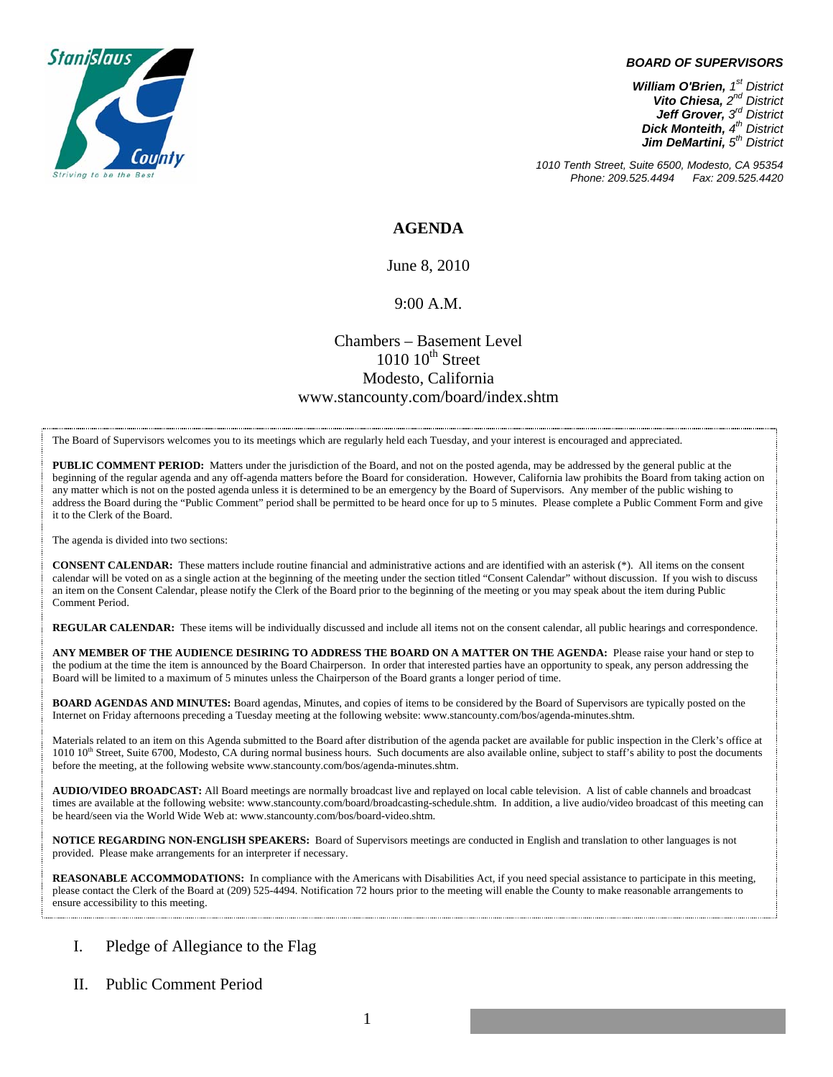

#### *BOARD OF SUPERVISORS*

*William O'Brien, 1st District Vito Chiesa, 2nd District Jeff Grover, 3rd District Dick Monteith, 4th District Jim DeMartini, 5th District*

*1010 Tenth Street, Suite 6500, Modesto, CA 95354 Phone: 209.525.4494* 

### **AGENDA**

June 8, 2010

#### 9:00 A.M.

## Chambers – Basement Level  $1010$   $10^{th}$  Street Modesto, California www.stancounty.com/board/index.shtm

The Board of Supervisors welcomes you to its meetings which are regularly held each Tuesday, and your interest is encouraged and appreciated.

**PUBLIC COMMENT PERIOD:** Matters under the jurisdiction of the Board, and not on the posted agenda, may be addressed by the general public at the beginning of the regular agenda and any off-agenda matters before the Board for consideration. However, California law prohibits the Board from taking action on any matter which is not on the posted agenda unless it is determined to be an emergency by the Board of Supervisors. Any member of the public wishing to address the Board during the "Public Comment" period shall be permitted to be heard once for up to 5 minutes. Please complete a Public Comment Form and give it to the Clerk of the Board.

The agenda is divided into two sections:

**CONSENT CALENDAR:** These matters include routine financial and administrative actions and are identified with an asterisk (\*). All items on the consent calendar will be voted on as a single action at the beginning of the meeting under the section titled "Consent Calendar" without discussion. If you wish to discuss an item on the Consent Calendar, please notify the Clerk of the Board prior to the beginning of the meeting or you may speak about the item during Public Comment Period.

**REGULAR CALENDAR:** These items will be individually discussed and include all items not on the consent calendar, all public hearings and correspondence.

**ANY MEMBER OF THE AUDIENCE DESIRING TO ADDRESS THE BOARD ON A MATTER ON THE AGENDA:** Please raise your hand or step to the podium at the time the item is announced by the Board Chairperson. In order that interested parties have an opportunity to speak, any person addressing the Board will be limited to a maximum of 5 minutes unless the Chairperson of the Board grants a longer period of time.

**BOARD AGENDAS AND MINUTES:** Board agendas, Minutes, and copies of items to be considered by the Board of Supervisors are typically posted on the Internet on Friday afternoons preceding a Tuesday meeting at the following website: www.stancounty.com/bos/agenda-minutes.shtm.

Materials related to an item on this Agenda submitted to the Board after distribution of the agenda packet are available for public inspection in the Clerk's office at 1010 10<sup>th</sup> Street, Suite 6700, Modesto, CA during normal business hours. Such documents are also available online, subject to staff's ability to post the documents before the meeting, at the following website www.stancounty.com/bos/agenda-minutes.shtm.

**AUDIO/VIDEO BROADCAST:** All Board meetings are normally broadcast live and replayed on local cable television. A list of cable channels and broadcast times are available at the following website: www.stancounty.com/board/broadcasting-schedule.shtm. In addition, a live audio/video broadcast of this meeting can be heard/seen via the World Wide Web at: www.stancounty.com/bos/board-video.shtm.

**NOTICE REGARDING NON-ENGLISH SPEAKERS:** Board of Supervisors meetings are conducted in English and translation to other languages is not provided. Please make arrangements for an interpreter if necessary.

**REASONABLE ACCOMMODATIONS:** In compliance with the Americans with Disabilities Act, if you need special assistance to participate in this meeting, please contact the Clerk of the Board at (209) 525-4494. Notification 72 hours prior to the meeting will enable the County to make reasonable arrangements to ensure accessibility to this meeting.

### I. Pledge of Allegiance to the Flag

II. Public Comment Period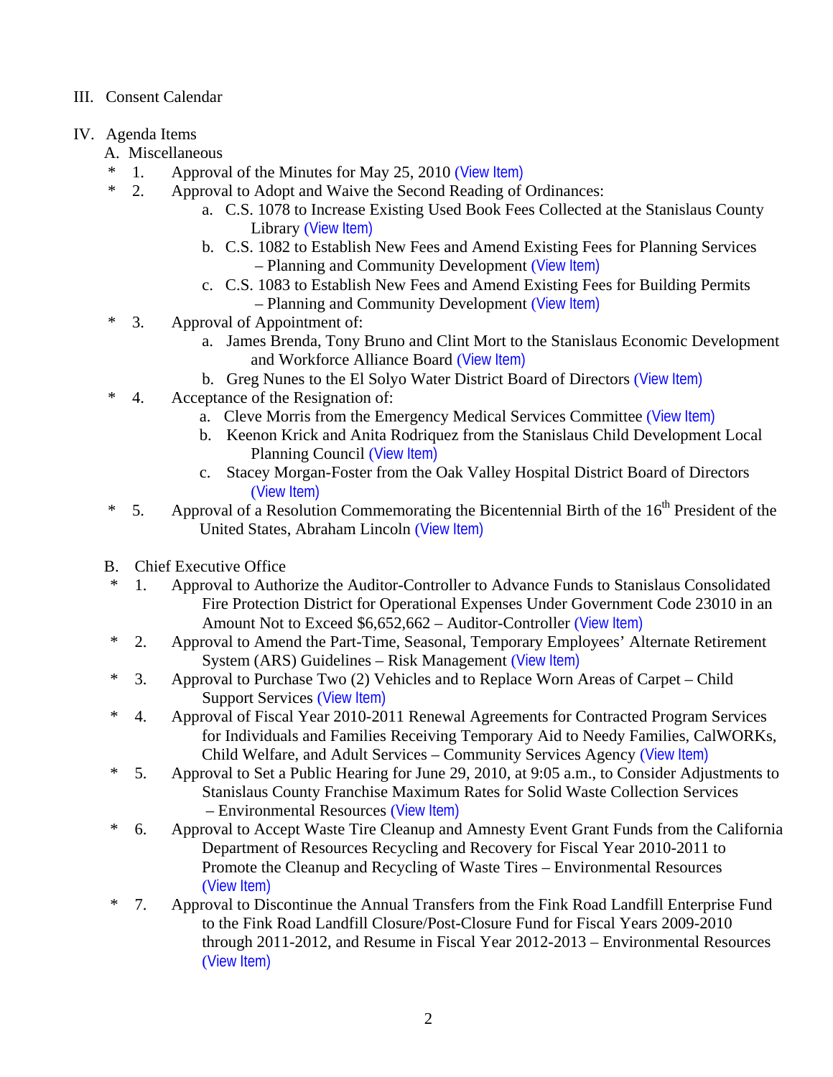# III. Consent Calendar

- IV. Agenda Items
	- A. Miscellaneous
	- $*$  1. Approval of the Minutes for May 25, 2010 ([View Item\)](http://www.stancounty.com/bos/minutes/2010/min05-25-10.pdf)<br> $*$  2. Approval to Adopt and Waive the Second Peading of
		- 2. Approval to Adopt and Waive the Second Reading of Ordinances:
			- a. C.S. 1078 to Increase Existing Used Book Fees Collected at the Stanislaus County Library ([View Item\)](http://www.stancounty.com/bos/agenda/2010/20100608/A02a.pdf)
			- b. C.S. 1082 to Establish New Fees and Amend Existing Fees for Planning Services – Planning and Community Development ([View Item\)](http://www.stancounty.com/bos/agenda/2010/20100608/A02b.pdf)
			- c. C.S. 1083 to Establish New Fees and Amend Existing Fees for Building Permits – Planning and Community Development ([View Item\)](http://www.stancounty.com/bos/agenda/2010/20100608/A02c.pdf)
	- \* 3. Approval of Appointment of:
		- a. James Brenda, Tony Bruno and Clint Mort to the Stanislaus Economic Development and Workforce Alliance Board ([View Item\)](http://www.stancounty.com/bos/agenda/2010/20100608/A03a.pdf)
		- b. Greg Nunes to the El Solyo Water District Board of Directors ([View Item\)](http://www.stancounty.com/bos/agenda/2010/20100608/A03b.pdf)
	- \* 4. Acceptance of the Resignation of:
		- a. Cleve Morris from the Emergency Medical Services Committee ([View Item\)](http://www.stancounty.com/bos/agenda/2010/20100608/A04a.pdf)
		- b. Keenon Krick and Anita Rodriquez from the Stanislaus Child Development Local Planning Council ([View Item\)](http://www.stancounty.com/bos/agenda/2010/20100608/A04b.pdf)
		- c. Stacey Morgan-Foster from the Oak Valley Hospital District Board of Directors ([View Item\)](http://www.stancounty.com/bos/agenda/2010/20100608/A04c.pdf)
	- \* 5. Approval of a Resolution Commemorating the Bicentennial Birth of the  $16<sup>th</sup>$  President of the United States, Abraham Lincoln ([View Item\)](http://www.stancounty.com/bos/agenda/2010/20100608/A05.pdf)
	- B. Chief Executive Office
	- \* 1. Approval to Authorize the Auditor-Controller to Advance Funds to Stanislaus Consolidated Fire Protection District for Operational Expenses Under Government Code 23010 in an Amount Not to Exceed \$6,652,662 – Auditor-Controller ([View Item\)](http://www.stancounty.com/bos/agenda/2010/20100608/B01.pdf)
	- \* 2. Approval to Amend the Part-Time, Seasonal, Temporary Employees' Alternate Retirement System (ARS) Guidelines – Risk Management ([View Item\)](http://www.stancounty.com/bos/agenda/2010/20100608/B02.pdf)
	- \* 3. Approval to Purchase Two (2) Vehicles and to Replace Worn Areas of Carpet Child Support Services ([View Item\)](http://www.stancounty.com/bos/agenda/2010/20100608/B03.pdf)
	- \* 4. Approval of Fiscal Year 2010-2011 Renewal Agreements for Contracted Program Services for Individuals and Families Receiving Temporary Aid to Needy Families, CalWORKs, Child Welfare, and Adult Services – Community Services Agency ([View Item\)](http://www.stancounty.com/bos/agenda/2010/20100608/B04.pdf)
	- \* 5. Approval to Set a Public Hearing for June 29, 2010, at 9:05 a.m., to Consider Adjustments to Stanislaus County Franchise Maximum Rates for Solid Waste Collection Services – Environmental Resources ([View Item\)](http://www.stancounty.com/bos/agenda/2010/20100608/B05.pdf)
	- \* 6. Approval to Accept Waste Tire Cleanup and Amnesty Event Grant Funds from the California Department of Resources Recycling and Recovery for Fiscal Year 2010-2011 to Promote the Cleanup and Recycling of Waste Tires – Environmental Resources ([View Item\)](http://www.stancounty.com/bos/agenda/2010/20100608/B06.pdf)
	- \* 7. Approval to Discontinue the Annual Transfers from the Fink Road Landfill Enterprise Fund to the Fink Road Landfill Closure/Post-Closure Fund for Fiscal Years 2009-2010 through 2011-2012, and Resume in Fiscal Year 2012-2013 – Environmental Resources ([View Item\)](http://www.stancounty.com/bos/agenda/2010/20100608/B07.pdf)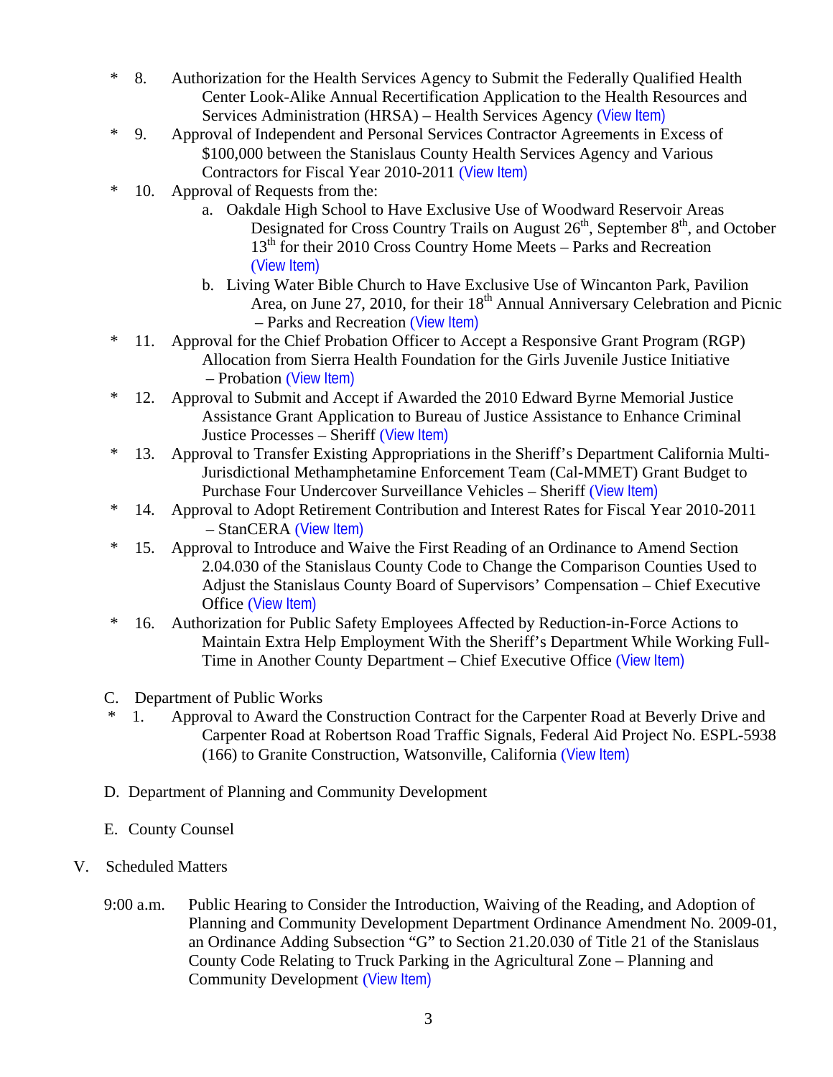- \* 8. Authorization for the Health Services Agency to Submit the Federally Qualified Health Center Look-Alike Annual Recertification Application to the Health Resources and Services Administration (HRSA) – Health Services Agency ([View Item\)](http://www.stancounty.com/bos/agenda/2010/20100608/B08.pdf)
- \* 9. Approval of Independent and Personal Services Contractor Agreements in Excess of \$100,000 between the Stanislaus County Health Services Agency and Various Contractors for Fiscal Year 2010-2011 ([View Item\)](http://www.stancounty.com/bos/agenda/2010/20100608/B09.pdf)
- \* 10. Approval of Requests from the:
	- a. Oakdale High School to Have Exclusive Use of Woodward Reservoir Areas Designated for Cross Country Trails on August  $26<sup>th</sup>$ , September  $8<sup>th</sup>$ , and October  $13<sup>th</sup>$  for their 2010 Cross Country Home Meets – Parks and Recreation ([View Item\)](http://www.stancounty.com/bos/agenda/2010/20100608/B10a.pdf)
	- b. Living Water Bible Church to Have Exclusive Use of Wincanton Park, Pavilion Area, on June 27, 2010, for their  $18<sup>th</sup>$  Annual Anniversary Celebration and Picnic – Parks and Recreation ([View Item\)](http://www.stancounty.com/bos/agenda/2010/20100608/B10b.pdf)
- \* 11. Approval for the Chief Probation Officer to Accept a Responsive Grant Program (RGP) Allocation from Sierra Health Foundation for the Girls Juvenile Justice Initiative – Probation ([View Item\)](http://www.stancounty.com/bos/agenda/2010/20100608/B11.pdf)
- \* 12. Approval to Submit and Accept if Awarded the 2010 Edward Byrne Memorial Justice Assistance Grant Application to Bureau of Justice Assistance to Enhance Criminal Justice Processes – Sheriff ([View Item\)](http://www.stancounty.com/bos/agenda/2010/20100608/B12.pdf)
- \* 13. Approval to Transfer Existing Appropriations in the Sheriff's Department California Multi-Jurisdictional Methamphetamine Enforcement Team (Cal-MMET) Grant Budget to Purchase Four Undercover Surveillance Vehicles – Sheriff ([View Item\)](http://www.stancounty.com/bos/agenda/2010/20100608/B13.pdf)
- \* 14. Approval to Adopt Retirement Contribution and Interest Rates for Fiscal Year 2010-2011 – StanCERA ([View Item\)](http://www.stancounty.com/bos/agenda/2010/20100608/B14.pdf)
- \* 15. Approval to Introduce and Waive the First Reading of an Ordinance to Amend Section 2.04.030 of the Stanislaus County Code to Change the Comparison Counties Used to Adjust the Stanislaus County Board of Supervisors' Compensation – Chief Executive Office ([View Item\)](http://www.stancounty.com/bos/agenda/2010/20100608/B15.pdf)
- \* 16. Authorization for Public Safety Employees Affected by Reduction-in-Force Actions to Maintain Extra Help Employment With the Sheriff's Department While Working Full-Time in Another County Department – Chief Executive Office ([View Item\)](http://www.stancounty.com/bos/agenda/2010/20100608/B16.pdf)
- C. Department of Public Works
- \* 1. Approval to Award the Construction Contract for the Carpenter Road at Beverly Drive and Carpenter Road at Robertson Road Traffic Signals, Federal Aid Project No. ESPL-5938 (166) to Granite Construction, Watsonville, California ([View Item\)](http://www.stancounty.com/bos/agenda/2010/20100608/C01.pdf)
- D. Department of Planning and Community Development
- E. County Counsel
- V. Scheduled Matters
	- 9:00 a.m. Public Hearing to Consider the Introduction, Waiving of the Reading, and Adoption of Planning and Community Development Department Ordinance Amendment No. 2009-01, an Ordinance Adding Subsection "G" to Section 21.20.030 of Title 21 of the Stanislaus County Code Relating to Truck Parking in the Agricultural Zone – Planning and Community Development ([View Item\)](http://www.stancounty.com/bos/agenda/2010/20100608/PH900.pdf)